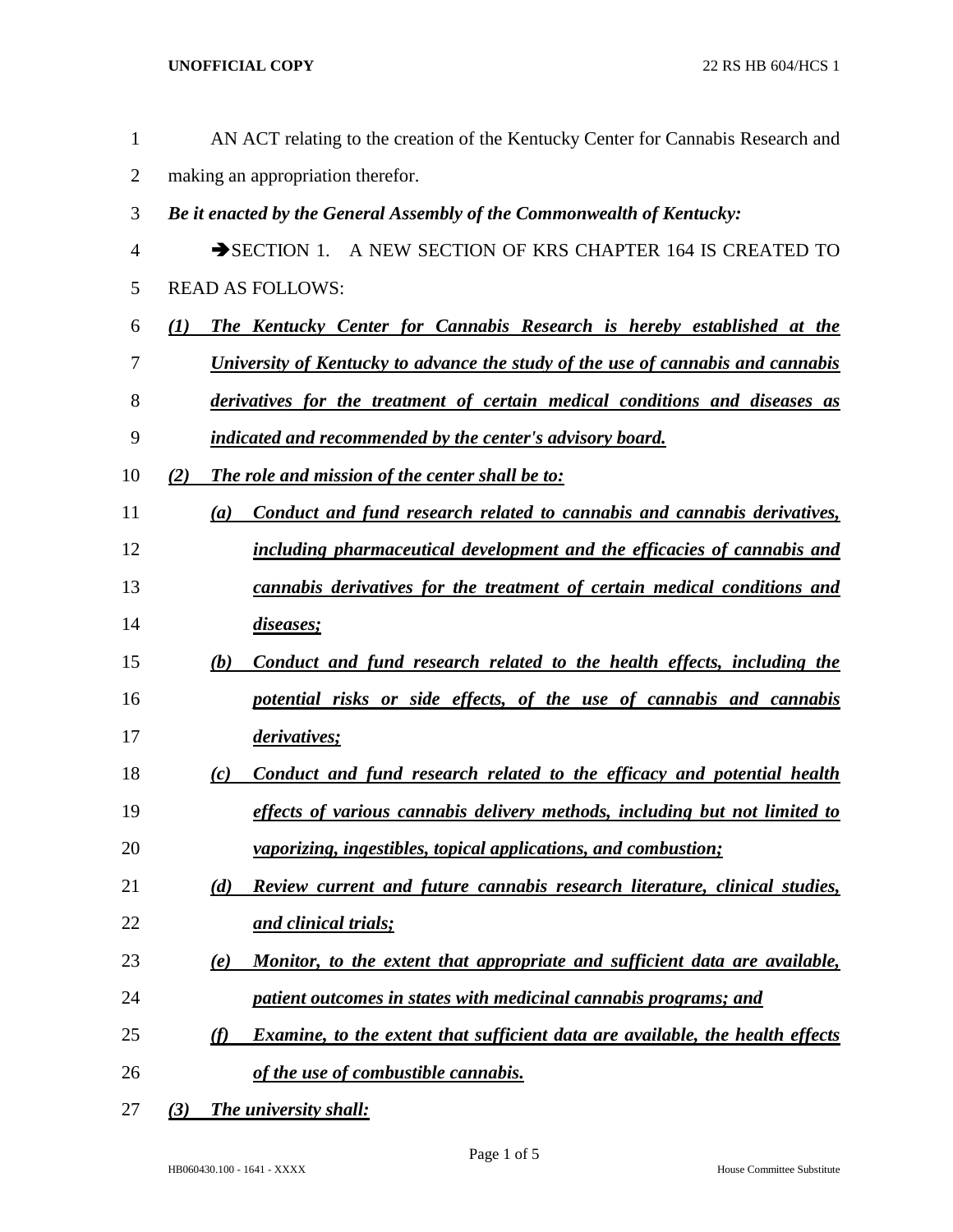| $\mathbf{1}$   | AN ACT relating to the creation of the Kentucky Center for Cannabis Research and           |  |
|----------------|--------------------------------------------------------------------------------------------|--|
| $\overline{2}$ | making an appropriation therefor.                                                          |  |
| 3              | Be it enacted by the General Assembly of the Commonwealth of Kentucky:                     |  |
| 4              | SECTION 1. A NEW SECTION OF KRS CHAPTER 164 IS CREATED TO                                  |  |
| 5              | <b>READ AS FOLLOWS:</b>                                                                    |  |
| 6              | The Kentucky Center for Cannabis Research is hereby established at the<br>$\mathcal{L}(I)$ |  |
| 7              | University of Kentucky to advance the study of the use of cannabis and cannabis            |  |
| 8              | derivatives for the treatment of certain medical conditions and diseases as                |  |
| 9              | indicated and recommended by the center's advisory board.                                  |  |
| 10             | The role and mission of the center shall be to:<br>(2)                                     |  |
| 11             | Conduct and fund research related to cannabis and cannabis derivatives,<br>(a)             |  |
| 12             | including pharmaceutical development and the efficacies of cannabis and                    |  |
| 13             | <u>cannabis derivatives for the treatment of certain medical conditions and</u>            |  |
| 14             | diseases;                                                                                  |  |
| 15             | Conduct and fund research related to the health effects, including the<br>(b)              |  |
| 16             | potential risks or side effects, of the use of cannabis and cannabis                       |  |
| 17             | <i>derivatives;</i>                                                                        |  |
| 18             | Conduct and fund research related to the efficacy and potential health<br>(c)              |  |
| 19             | effects of various cannabis delivery methods, including but not limited to                 |  |
| 20             | <i>vaporizing, ingestibles, topical applications, and combustion;</i>                      |  |
| 21             | (d)<br>Review current and future cannabis research literature, clinical studies,           |  |
| 22             | <u>and clinical trials;</u>                                                                |  |
| 23             | Monitor, to the extent that appropriate and sufficient data are available,<br>(e)          |  |
| 24             | patient outcomes in states with medicinal cannabis programs; and                           |  |
| 25             | Examine, to the extent that sufficient data are available, the health effects<br>(f)       |  |
| 26             | of the use of combustible cannabis.                                                        |  |
| 27             | <b>The university shall:</b><br>(3)                                                        |  |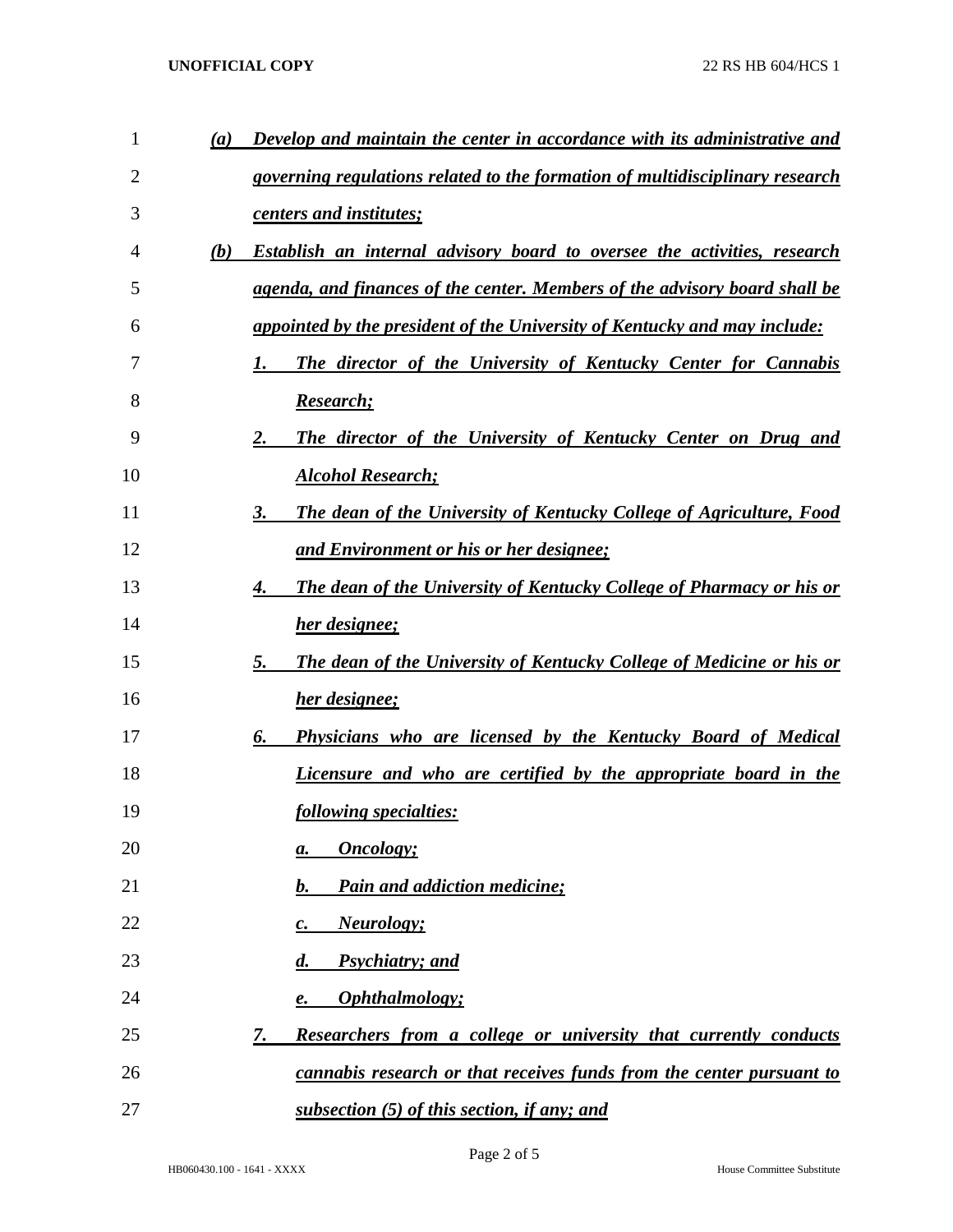| $\mathbf{1}$ | (a) | Develop and maintain the center in accordance with its administrative and         |
|--------------|-----|-----------------------------------------------------------------------------------|
| 2            |     | governing regulations related to the formation of multidisciplinary research      |
| 3            |     | centers and institutes;                                                           |
| 4            | (b) | <b>Establish an internal advisory board to oversee the activities, research</b>   |
| 5            |     | agenda, and finances of the center. Members of the advisory board shall be        |
| 6            |     | <u>appointed by the president of the University of Kentucky and may include:</u>  |
| 7            |     | The director of the University of Kentucky Center for Cannabis<br>1.              |
| 8            |     | Research;                                                                         |
| 9            |     | The director of the University of Kentucky Center on Drug and<br>2.               |
| 10           |     | <b>Alcohol Research;</b>                                                          |
| 11           |     | The dean of the University of Kentucky College of Agriculture, Food<br>3.         |
| 12           |     | <u>and Environment or his or her designee;</u>                                    |
| 13           |     | <b>The dean of the University of Kentucky College of Pharmacy or his or</b><br>4. |
| 14           |     | her designee;                                                                     |
| 15           |     | The dean of the University of Kentucky College of Medicine or his or<br>5.        |
| 16           |     | her designee;                                                                     |
| 17           |     | <b>Physicians who are licensed by the Kentucky Board of Medical</b><br>6.         |
| 18           |     | Licensure and who are certified by the appropriate board in the                   |
| 19           |     | following specialties:                                                            |
| 20           |     | <b>Oncology</b> ;<br>а.                                                           |
| 21           |     | <b>Pain and addiction medicine;</b><br>b.                                         |
| 22           |     | <b>Neurology</b> ;<br>c.                                                          |
| 23           |     | <b>Psychiatry</b> ; and<br>$\boldsymbol{d}$ .                                     |
| 24           |     | Ophthalmology;<br>e.                                                              |
| 25           |     | Researchers from a college or university that currently conducts<br>7.            |
| 26           |     | cannabis research or that receives funds from the center pursuant to              |
| 27           |     | subsection (5) of this section, if any; and                                       |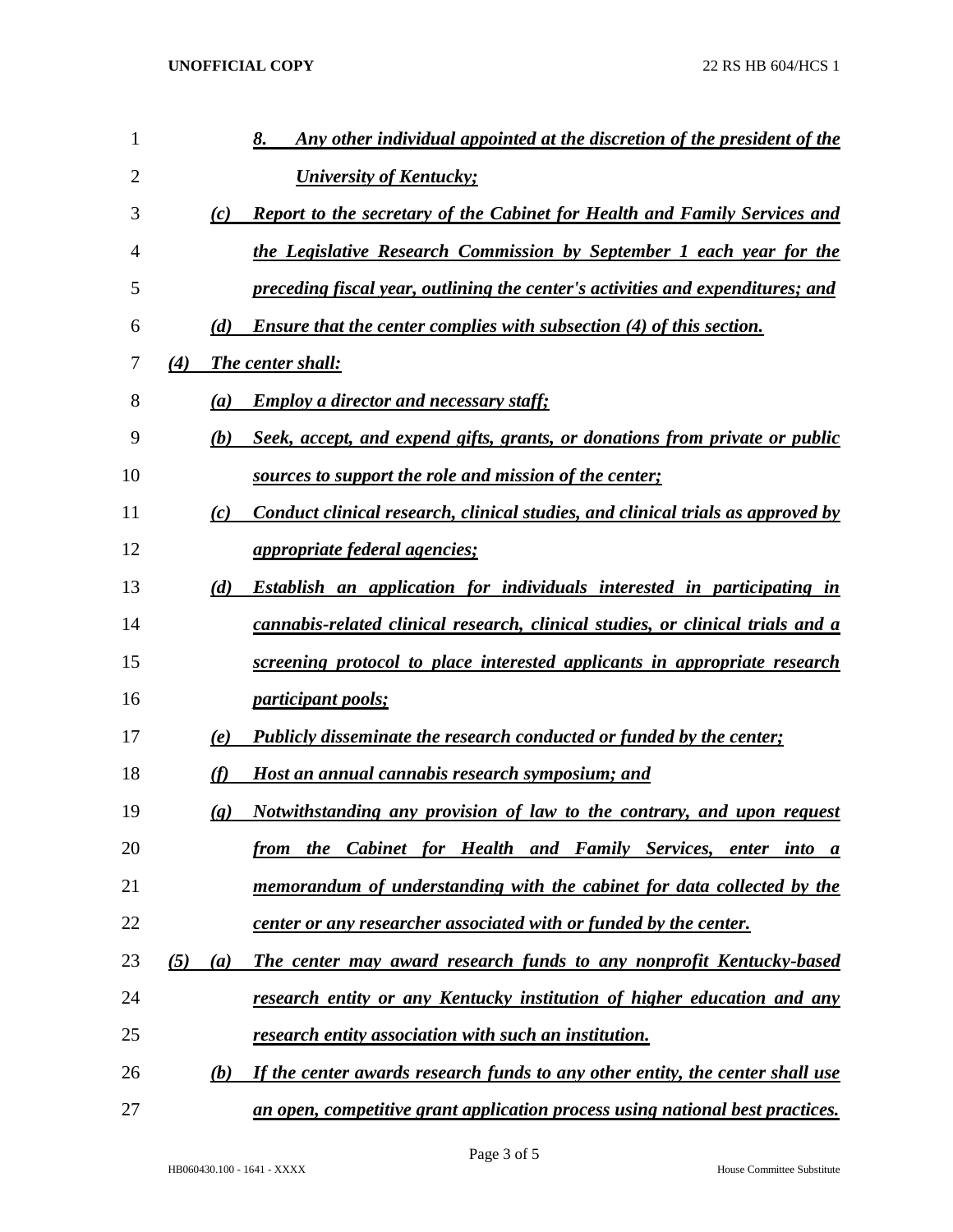| 1  |     |                             | Any other individual appointed at the discretion of the president of the<br>8.       |
|----|-----|-----------------------------|--------------------------------------------------------------------------------------|
| 2  |     |                             | <b>University of Kentucky;</b>                                                       |
| 3  |     | (c)                         | <b>Report to the secretary of the Cabinet for Health and Family Services and</b>     |
| 4  |     |                             | the Legislative Research Commission by September 1 each year for the                 |
| 5  |     |                             | preceding fiscal year, outlining the center's activities and expenditures; and       |
| 6  |     | (d)                         | <b>Ensure that the center complies with subsection (4) of this section.</b>          |
| 7  | (4) |                             | <b>The center shall:</b>                                                             |
| 8  |     | (a)                         | <b>Employ a director and necessary staff:</b>                                        |
| 9  |     | (b)                         | Seek, accept, and expend gifts, grants, or donations from private or public          |
| 10 |     |                             | sources to support the role and mission of the center;                               |
| 11 |     | (c)                         | Conduct clinical research, clinical studies, and clinical trials as approved by      |
| 12 |     |                             | <i>appropriate federal agencies;</i>                                                 |
| 13 |     | (d)                         | <b>Establish an application for individuals interested in participating in</b>       |
| 14 |     |                             | cannabis-related clinical research, clinical studies, or clinical trials and a       |
| 15 |     |                             | screening protocol to place interested applicants in appropriate research            |
| 16 |     |                             | <i>participant pools;</i>                                                            |
| 17 |     | (e)                         | <b>Publicly disseminate the research conducted or funded by the center;</b>          |
| 18 |     | (f)                         | Host an annual cannabis research symposium; and                                      |
| 19 |     | $\left( \mathbf{g} \right)$ | Notwithstanding any provision of law to the contrary, and upon request               |
| 20 |     |                             | from the Cabinet for Health and Family Services, enter into a                        |
| 21 |     |                             | memorandum of understanding with the cabinet for data collected by the               |
| 22 |     |                             | <u>center or any researcher associated with or funded by the center.</u>             |
| 23 | (5) | (a)                         | The center may award research funds to any nonprofit Kentucky-based                  |
| 24 |     |                             | research entity or any Kentucky institution of higher education and any              |
| 25 |     |                             | <u>research entity association with such an institution.</u>                         |
| 26 |     | (b)                         | If the center awards research funds to any other entity, the center shall use        |
| 27 |     |                             | <u>an open, competitive grant application process using national best practices.</u> |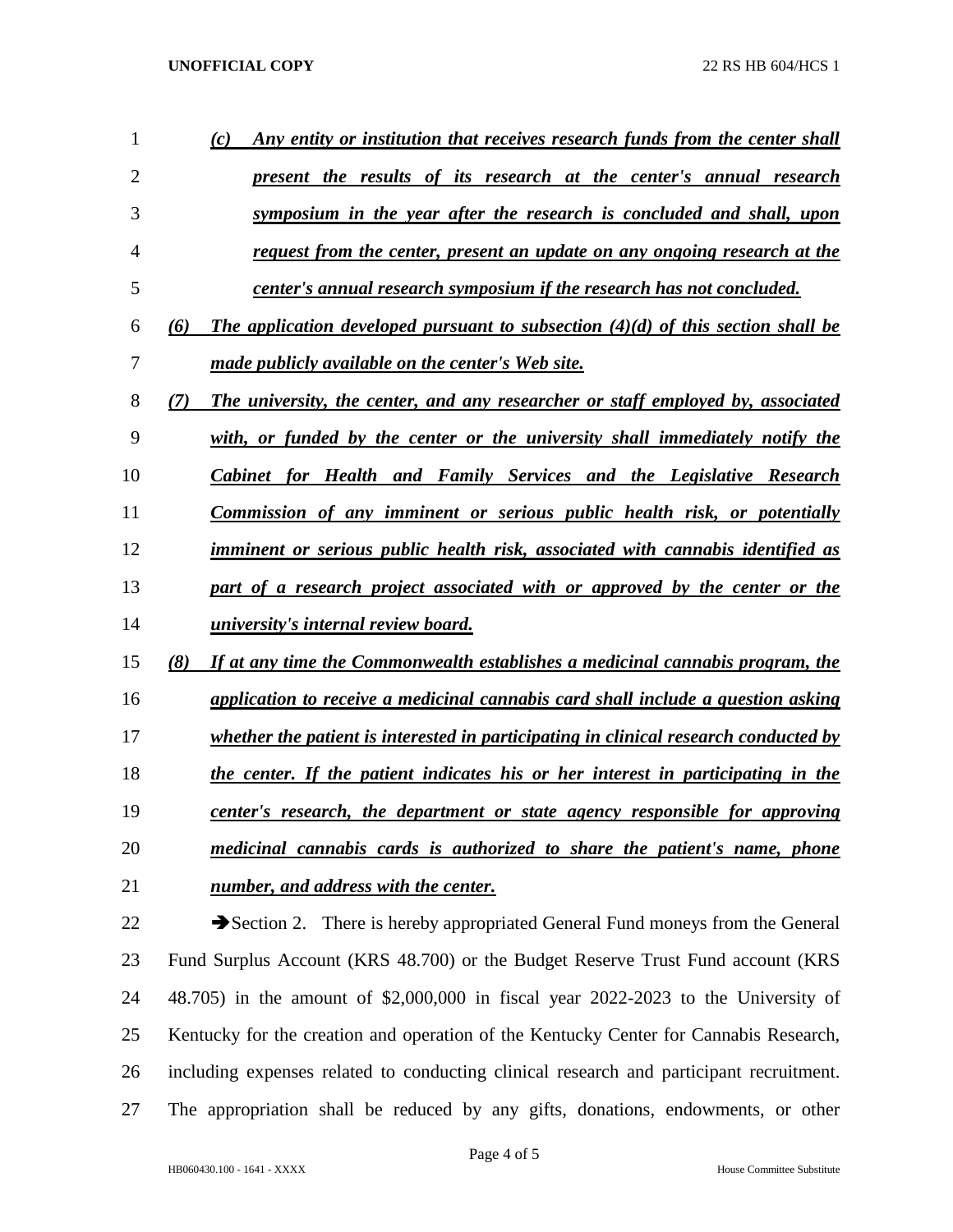| 1  | Any entity or institution that receives research funds from the center shall<br>(c)       |
|----|-------------------------------------------------------------------------------------------|
| 2  | present the results of its research at the center's annual research                       |
| 3  | symposium in the year after the research is concluded and shall, upon                     |
| 4  | request from the center, present an update on any ongoing research at the                 |
| 5  | center's annual research symposium if the research has not concluded.                     |
| 6  | The application developed pursuant to subsection $(4)(d)$ of this section shall be<br>(6) |
| 7  | made publicly available on the center's Web site.                                         |
| 8  | The university, the center, and any researcher or staff employed by, associated<br>(7)    |
| 9  | with, or funded by the center or the university shall immediately notify the              |
| 10 | <b>Cabinet for Health and Family Services and the Legislative Research</b>                |
| 11 | <b>Commission of any imminent or serious public health risk, or potentially</b>           |
| 12 | imminent or serious public health risk, associated with cannabis identified as            |
| 13 | part of a research project associated with or approved by the center or the               |
| 14 | <i>university's internal review board.</i>                                                |
| 15 | If at any time the Commonwealth establishes a medicinal cannabis program, the<br>(8)      |
| 16 | application to receive a medicinal cannabis card shall include a question asking          |
| 17 | whether the patient is interested in participating in clinical research conducted by      |
| 18 | the center. If the patient indicates his or her interest in participating in the          |
| 19 | center's research, the department or state agency responsible for approving               |
| 20 | medicinal cannabis cards is authorized to share the patient's name, phone                 |
| 21 | number, and address with the center.                                                      |
| 22 | Section 2. There is hereby appropriated General Fund moneys from the General              |
| 23 | Fund Surplus Account (KRS 48.700) or the Budget Reserve Trust Fund account (KRS           |
| 24 | 48.705) in the amount of \$2,000,000 in fiscal year 2022-2023 to the University of        |
| 25 | Kentucky for the creation and operation of the Kentucky Center for Cannabis Research,     |
| 26 | including expenses related to conducting clinical research and participant recruitment.   |

The appropriation shall be reduced by any gifts, donations, endowments, or other